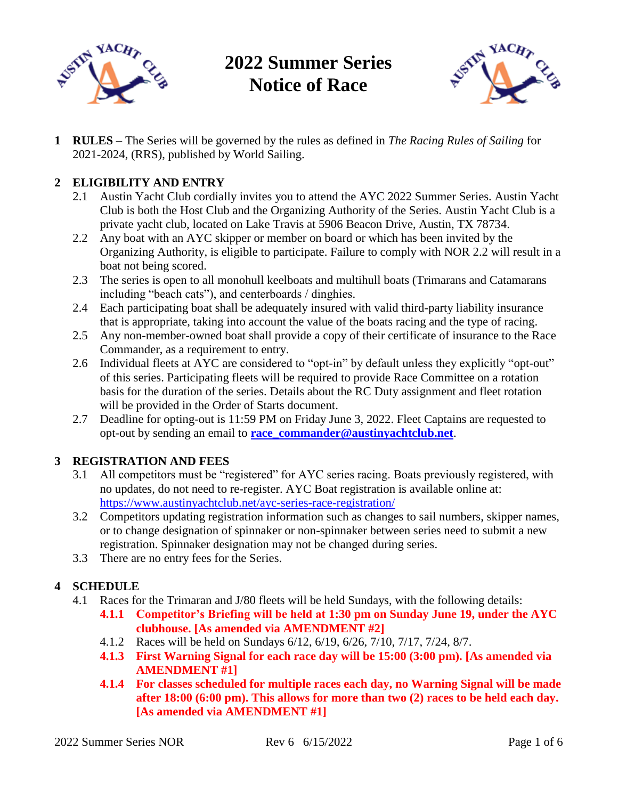

**2022 Summer Series Notice of Race**



**1 RULES** – The Series will be governed by the rules as defined in *The Racing Rules of Sailing* for 2021-2024, (RRS), published by World Sailing.

## **2 ELIGIBILITY AND ENTRY**

- 2.1 Austin Yacht Club cordially invites you to attend the AYC 2022 Summer Series. Austin Yacht Club is both the Host Club and the Organizing Authority of the Series. Austin Yacht Club is a private yacht club, located on Lake Travis at 5906 Beacon Drive, Austin, TX 78734.
- 2.2 Any boat with an AYC skipper or member on board or which has been invited by the Organizing Authority, is eligible to participate. Failure to comply with NOR 2.2 will result in a boat not being scored.
- 2.3 The series is open to all monohull keelboats and multihull boats (Trimarans and Catamarans including "beach cats"), and centerboards / dinghies.
- 2.4 Each participating boat shall be adequately insured with valid third-party liability insurance that is appropriate, taking into account the value of the boats racing and the type of racing.
- 2.5 Any non-member-owned boat shall provide a copy of their certificate of insurance to the Race Commander, as a requirement to entry.
- 2.6 Individual fleets at AYC are considered to "opt-in" by default unless they explicitly "opt-out" of this series. Participating fleets will be required to provide Race Committee on a rotation basis for the duration of the series. Details about the RC Duty assignment and fleet rotation will be provided in the Order of Starts document.
- 2.7 Deadline for opting-out is 11:59 PM on Friday June 3, 2022. Fleet Captains are requested to opt-out by sending an email to **[race\\_commander@austinyachtclub.net](mailto:race_commander@austinyachtclub.net)**.

## **3 REGISTRATION AND FEES**

- 3.1 All competitors must be "registered" for AYC series racing. Boats previously registered, with no updates, do not need to re-register. AYC Boat registration is available online at: <https://www.austinyachtclub.net/ayc-series-race-registration/>
- 3.2 Competitors updating registration information such as changes to sail numbers, skipper names, or to change designation of spinnaker or non-spinnaker between series need to submit a new registration. Spinnaker designation may not be changed during series.
- 3.3 There are no entry fees for the Series.

## **4 SCHEDULE**

- 4.1 Races for the Trimaran and J/80 fleets will be held Sundays, with the following details:
	- **4.1.1 Competitor's Briefing will be held at 1:30 pm on Sunday June 19, under the AYC clubhouse. [As amended via AMENDMENT #2]**
	- 4.1.2 Races will be held on Sundays 6/12, 6/19, 6/26, 7/10, 7/17, 7/24, 8/7.
	- **4.1.3 First Warning Signal for each race day will be 15:00 (3:00 pm). [As amended via AMENDMENT #1]**
	- **4.1.4 For classes scheduled for multiple races each day, no Warning Signal will be made after 18:00 (6:00 pm). This allows for more than two (2) races to be held each day. [As amended via AMENDMENT #1]**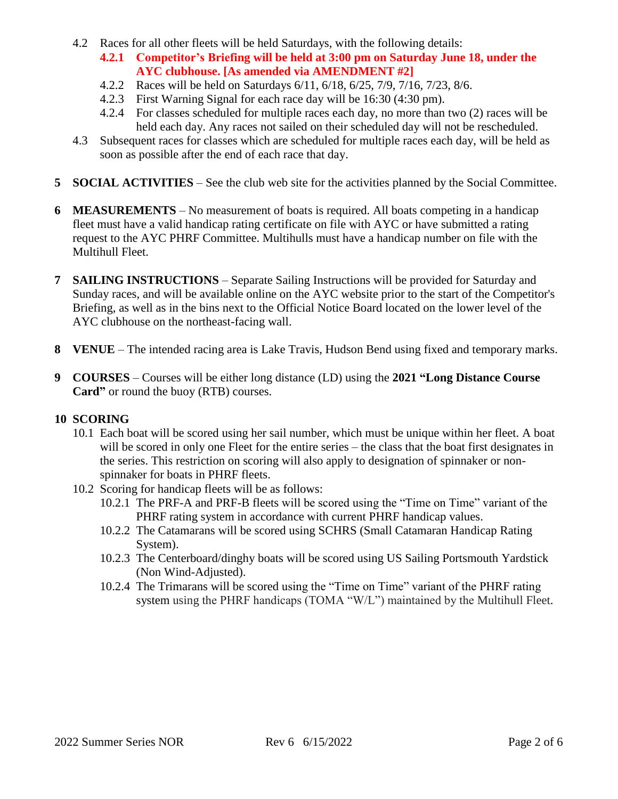- 4.2 Races for all other fleets will be held Saturdays, with the following details:
	- **4.2.1 Competitor's Briefing will be held at 3:00 pm on Saturday June 18, under the AYC clubhouse. [As amended via AMENDMENT #2]**
	- 4.2.2 Races will be held on Saturdays 6/11, 6/18, 6/25, 7/9, 7/16, 7/23, 8/6.
	- 4.2.3 First Warning Signal for each race day will be 16:30 (4:30 pm).
	- 4.2.4 For classes scheduled for multiple races each day, no more than two (2) races will be held each day. Any races not sailed on their scheduled day will not be rescheduled.
- 4.3 Subsequent races for classes which are scheduled for multiple races each day, will be held as soon as possible after the end of each race that day.
- **5 SOCIAL ACTIVITIES** See the club web site for the activities planned by the Social Committee.
- **6 MEASUREMENTS** No measurement of boats is required. All boats competing in a handicap fleet must have a valid handicap rating certificate on file with AYC or have submitted a rating request to the AYC PHRF Committee. Multihulls must have a handicap number on file with the Multihull Fleet.
- **7 SAILING INSTRUCTIONS** Separate Sailing Instructions will be provided for Saturday and Sunday races, and will be available online on the AYC website prior to the start of the Competitor's Briefing, as well as in the bins next to the Official Notice Board located on the lower level of the AYC clubhouse on the northeast-facing wall.
- **8 VENUE** The intended racing area is Lake Travis, Hudson Bend using fixed and temporary marks.
- **9 COURSES** Courses will be either long distance (LD) using the **2021 "Long Distance Course Card"** or round the buoy (RTB) courses.

#### **10 SCORING**

- 10.1 Each boat will be scored using her sail number, which must be unique within her fleet. A boat will be scored in only one Fleet for the entire series – the class that the boat first designates in the series. This restriction on scoring will also apply to designation of spinnaker or nonspinnaker for boats in PHRF fleets.
- 10.2 Scoring for handicap fleets will be as follows:
	- 10.2.1 The PRF-A and PRF-B fleets will be scored using the "Time on Time" variant of the PHRF rating system in accordance with current PHRF handicap values.
	- 10.2.2 The Catamarans will be scored using SCHRS (Small Catamaran Handicap Rating System).
	- 10.2.3 The Centerboard/dinghy boats will be scored using US Sailing Portsmouth Yardstick (Non Wind-Adjusted).
	- 10.2.4 The Trimarans will be scored using the "Time on Time" variant of the PHRF rating system using the PHRF handicaps (TOMA "W/L") maintained by the Multihull Fleet.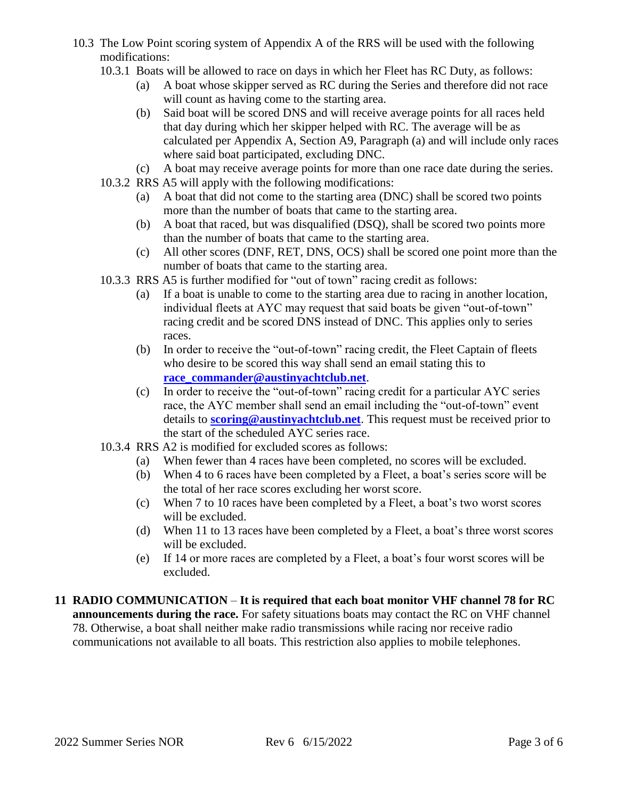- 10.3 The Low Point scoring system of Appendix A of the RRS will be used with the following modifications:
	- 10.3.1 Boats will be allowed to race on days in which her Fleet has RC Duty, as follows:
		- (a) A boat whose skipper served as RC during the Series and therefore did not race will count as having come to the starting area.
		- (b) Said boat will be scored DNS and will receive average points for all races held that day during which her skipper helped with RC. The average will be as calculated per Appendix A, Section A9, Paragraph (a) and will include only races where said boat participated, excluding DNC.
		- (c) A boat may receive average points for more than one race date during the series.
	- 10.3.2 RRS A5 will apply with the following modifications:
		- (a) A boat that did not come to the starting area (DNC) shall be scored two points more than the number of boats that came to the starting area.
		- (b) A boat that raced, but was disqualified (DSQ), shall be scored two points more than the number of boats that came to the starting area.
		- (c) All other scores (DNF, RET, DNS, OCS) shall be scored one point more than the number of boats that came to the starting area.
	- 10.3.3 RRS A5 is further modified for "out of town" racing credit as follows:
		- (a) If a boat is unable to come to the starting area due to racing in another location, individual fleets at AYC may request that said boats be given "out-of-town" racing credit and be scored DNS instead of DNC. This applies only to series races.
		- (b) In order to receive the "out-of-town" racing credit, the Fleet Captain of fleets who desire to be scored this way shall send an email stating this to **[race\\_commander@austinyachtclub.net](mailto:race_commander@austinyachtclub.net)**.
		- (c) In order to receive the "out-of-town" racing credit for a particular AYC series race, the AYC member shall send an email including the "out-of-town" event details to **[scoring@austinyachtclub.net](mailto:scoring@austinyachtclub.net)**. This request must be received prior to the start of the scheduled AYC series race.
	- 10.3.4 RRS A2 is modified for excluded scores as follows:
		- (a) When fewer than 4 races have been completed, no scores will be excluded.
		- (b) When 4 to 6 races have been completed by a Fleet, a boat's series score will be the total of her race scores excluding her worst score.
		- (c) When 7 to 10 races have been completed by a Fleet, a boat's two worst scores will be excluded.
		- (d) When 11 to 13 races have been completed by a Fleet, a boat's three worst scores will be excluded.
		- (e) If 14 or more races are completed by a Fleet, a boat's four worst scores will be excluded.

#### **11 RADIO COMMUNICATION** – **It is required that each boat monitor VHF channel 78 for RC announcements during the race.** For safety situations boats may contact the RC on VHF channel 78. Otherwise, a boat shall neither make radio transmissions while racing nor receive radio communications not available to all boats. This restriction also applies to mobile telephones.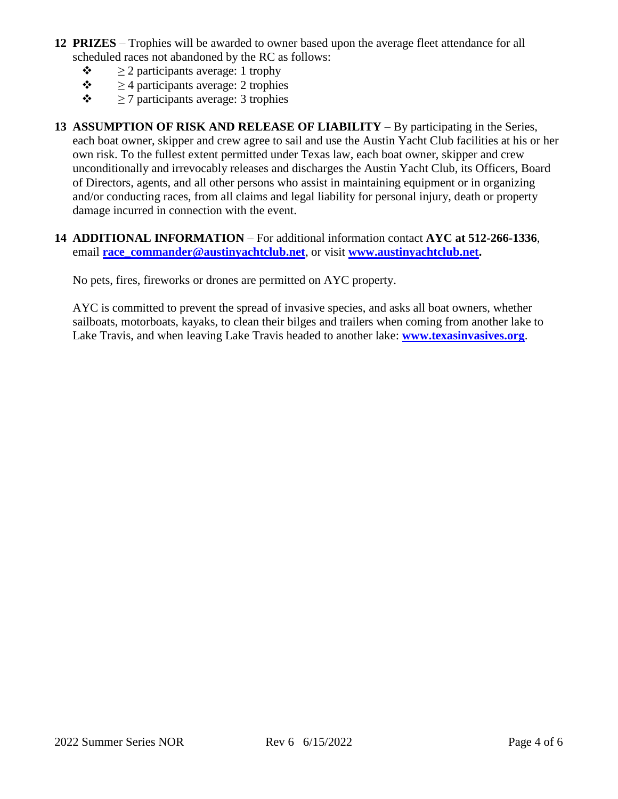- **12 PRIZES** Trophies will be awarded to owner based upon the average fleet attendance for all scheduled races not abandoned by the RC as follows:
	- $\triangleq 2$  participants average: 1 trophy
	- $\div$  > 4 participants average: 2 trophies
	- $\triangleq 7$  participants average: 3 trophies
- **13 ASSUMPTION OF RISK AND RELEASE OF LIABILITY** By participating in the Series, each boat owner, skipper and crew agree to sail and use the Austin Yacht Club facilities at his or her own risk. To the fullest extent permitted under Texas law, each boat owner, skipper and crew unconditionally and irrevocably releases and discharges the Austin Yacht Club, its Officers, Board of Directors, agents, and all other persons who assist in maintaining equipment or in organizing and/or conducting races, from all claims and legal liability for personal injury, death or property damage incurred in connection with the event.
- **14 ADDITIONAL INFORMATION** For additional information contact **AYC at 512-266-1336**, email **[race\\_commander@austinyachtclub.net](mailto:race_commander@austinyachtclub.net)**, or visit **[www.austinyachtclub.net.](https://www.austinyachtclub.net/)**

No pets, fires, fireworks or drones are permitted on AYC property.

AYC is committed to prevent the spread of invasive species, and asks all boat owners, whether sailboats, motorboats, kayaks, to clean their bilges and trailers when coming from another lake to Lake Travis, and when leaving Lake Travis headed to another lake: **[www.texasinvasives.org](http://www.texasinvasives.org/)**.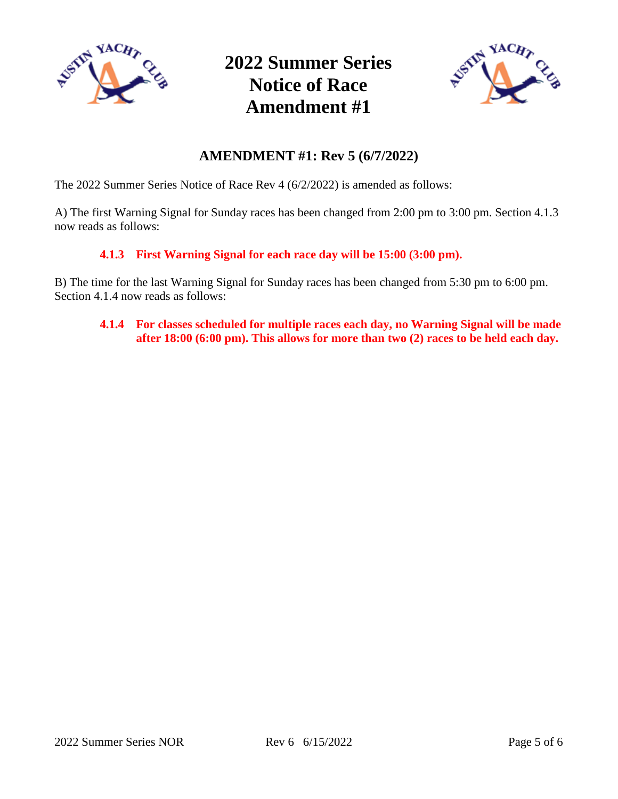

**2022 Summer Series Notice of Race Amendment #1**



# **AMENDMENT #1: Rev 5 (6/7/2022)**

The 2022 Summer Series Notice of Race Rev 4 (6/2/2022) is amended as follows:

A) The first Warning Signal for Sunday races has been changed from 2:00 pm to 3:00 pm. Section 4.1.3 now reads as follows:

#### **4.1.3 First Warning Signal for each race day will be 15:00 (3:00 pm).**

B) The time for the last Warning Signal for Sunday races has been changed from 5:30 pm to 6:00 pm. Section 4.1.4 now reads as follows:

#### **4.1.4 For classes scheduled for multiple races each day, no Warning Signal will be made after 18:00 (6:00 pm). This allows for more than two (2) races to be held each day.**